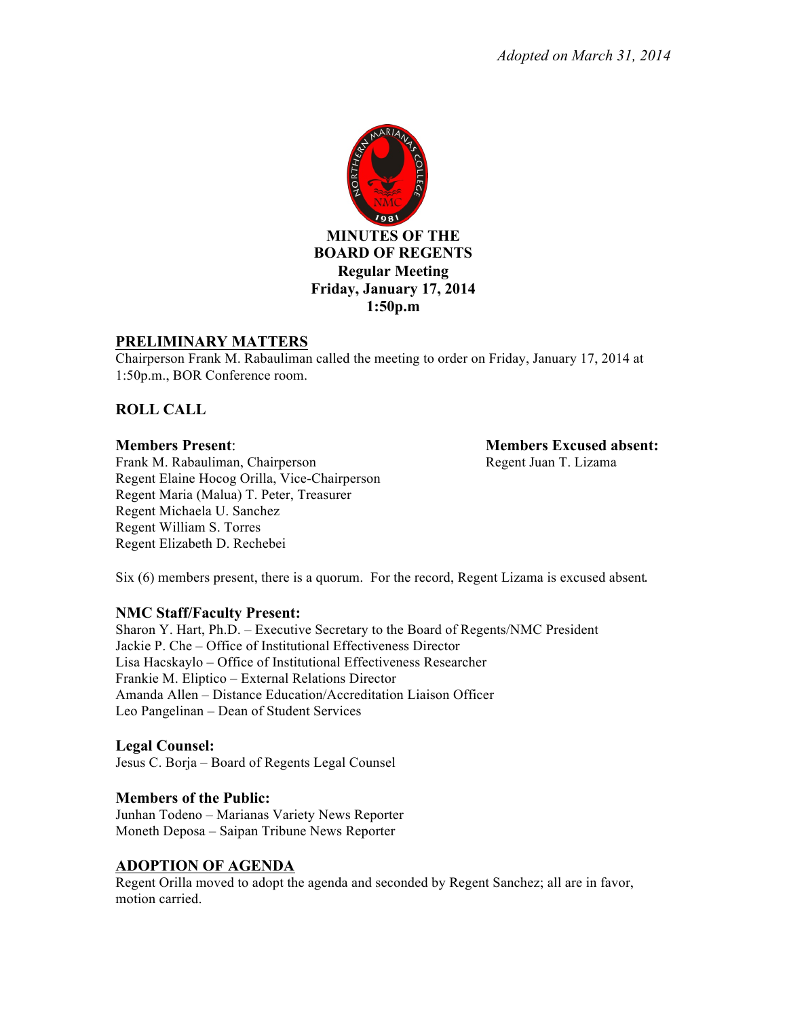

#### **PRELIMINARY MATTERS**

Chairperson Frank M. Rabauliman called the meeting to order on Friday, January 17, 2014 at 1:50p.m., BOR Conference room.

## **ROLL CALL**

Frank M. Rabauliman, Chairperson Regent Juan T. Lizama Regent Elaine Hocog Orilla, Vice-Chairperson Regent Maria (Malua) T. Peter, Treasurer Regent Michaela U. Sanchez Regent William S. Torres Regent Elizabeth D. Rechebei

**Members Present**: **Members Excused absent:**

 $Six (6)$  members present, there is a quorum. For the record, Regent Lizama is excused absent.

#### **NMC Staff/Faculty Present:**

Sharon Y. Hart, Ph.D. – Executive Secretary to the Board of Regents/NMC President Jackie P. Che – Office of Institutional Effectiveness Director Lisa Hacskaylo – Office of Institutional Effectiveness Researcher Frankie M. Eliptico – External Relations Director Amanda Allen – Distance Education/Accreditation Liaison Officer Leo Pangelinan – Dean of Student Services

## **Legal Counsel:**

Jesus C. Borja – Board of Regents Legal Counsel

## **Members of the Public:**

Junhan Todeno – Marianas Variety News Reporter Moneth Deposa – Saipan Tribune News Reporter

## **ADOPTION OF AGENDA**

Regent Orilla moved to adopt the agenda and seconded by Regent Sanchez; all are in favor, motion carried.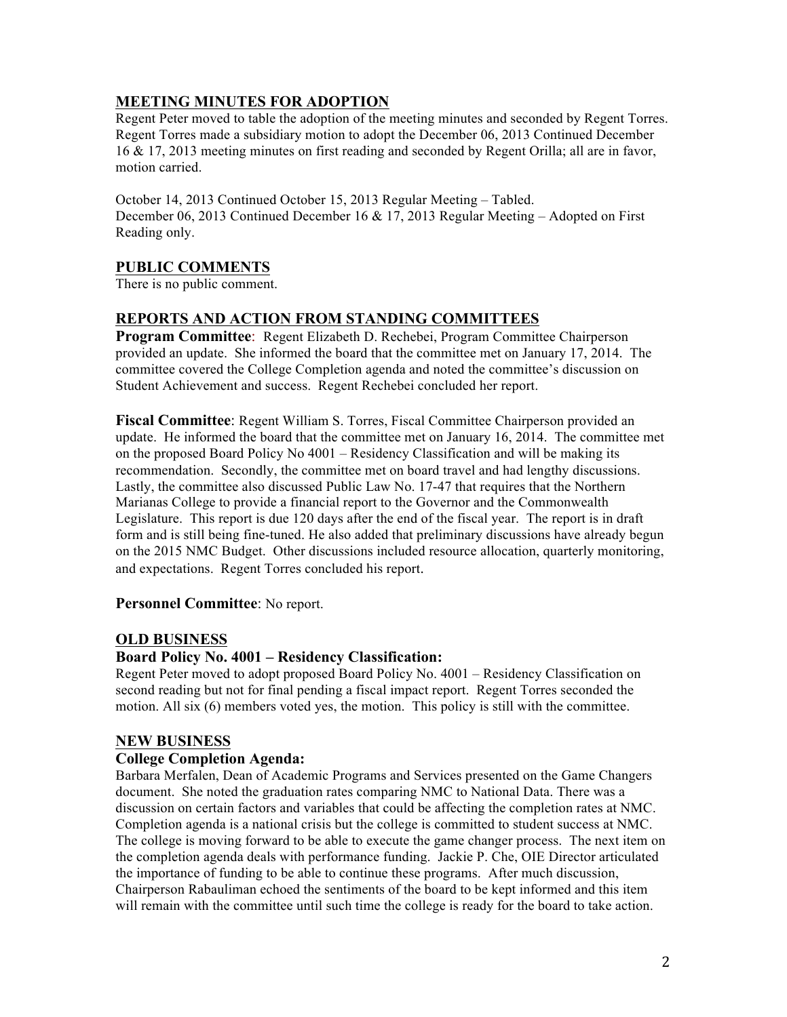# **MEETING MINUTES FOR ADOPTION**

Regent Peter moved to table the adoption of the meeting minutes and seconded by Regent Torres. Regent Torres made a subsidiary motion to adopt the December 06, 2013 Continued December 16 & 17, 2013 meeting minutes on first reading and seconded by Regent Orilla; all are in favor, motion carried.

October 14, 2013 Continued October 15, 2013 Regular Meeting – Tabled. December 06, 2013 Continued December 16 & 17, 2013 Regular Meeting – Adopted on First Reading only.

# **PUBLIC COMMENTS**

There is no public comment.

## **REPORTS AND ACTION FROM STANDING COMMITTEES**

**Program Committee**: Regent Elizabeth D. Rechebei, Program Committee Chairperson provided an update. She informed the board that the committee met on January 17, 2014. The committee covered the College Completion agenda and noted the committee's discussion on Student Achievement and success. Regent Rechebei concluded her report.

**Fiscal Committee**: Regent William S. Torres, Fiscal Committee Chairperson provided an update. He informed the board that the committee met on January 16, 2014. The committee met on the proposed Board Policy No 4001 – Residency Classification and will be making its recommendation. Secondly, the committee met on board travel and had lengthy discussions. Lastly, the committee also discussed Public Law No. 17-47 that requires that the Northern Marianas College to provide a financial report to the Governor and the Commonwealth Legislature. This report is due 120 days after the end of the fiscal year. The report is in draft form and is still being fine-tuned. He also added that preliminary discussions have already begun on the 2015 NMC Budget. Other discussions included resource allocation, quarterly monitoring, and expectations. Regent Torres concluded his report.

## **Personnel Committee**: No report.

## **OLD BUSINESS**

## **Board Policy No. 4001 – Residency Classification:**

Regent Peter moved to adopt proposed Board Policy No. 4001 – Residency Classification on second reading but not for final pending a fiscal impact report. Regent Torres seconded the motion. All six (6) members voted yes, the motion. This policy is still with the committee.

## **NEW BUSINESS**

## **College Completion Agenda:**

Barbara Merfalen, Dean of Academic Programs and Services presented on the Game Changers document. She noted the graduation rates comparing NMC to National Data. There was a discussion on certain factors and variables that could be affecting the completion rates at NMC. Completion agenda is a national crisis but the college is committed to student success at NMC. The college is moving forward to be able to execute the game changer process. The next item on the completion agenda deals with performance funding. Jackie P. Che, OIE Director articulated the importance of funding to be able to continue these programs. After much discussion, Chairperson Rabauliman echoed the sentiments of the board to be kept informed and this item will remain with the committee until such time the college is ready for the board to take action.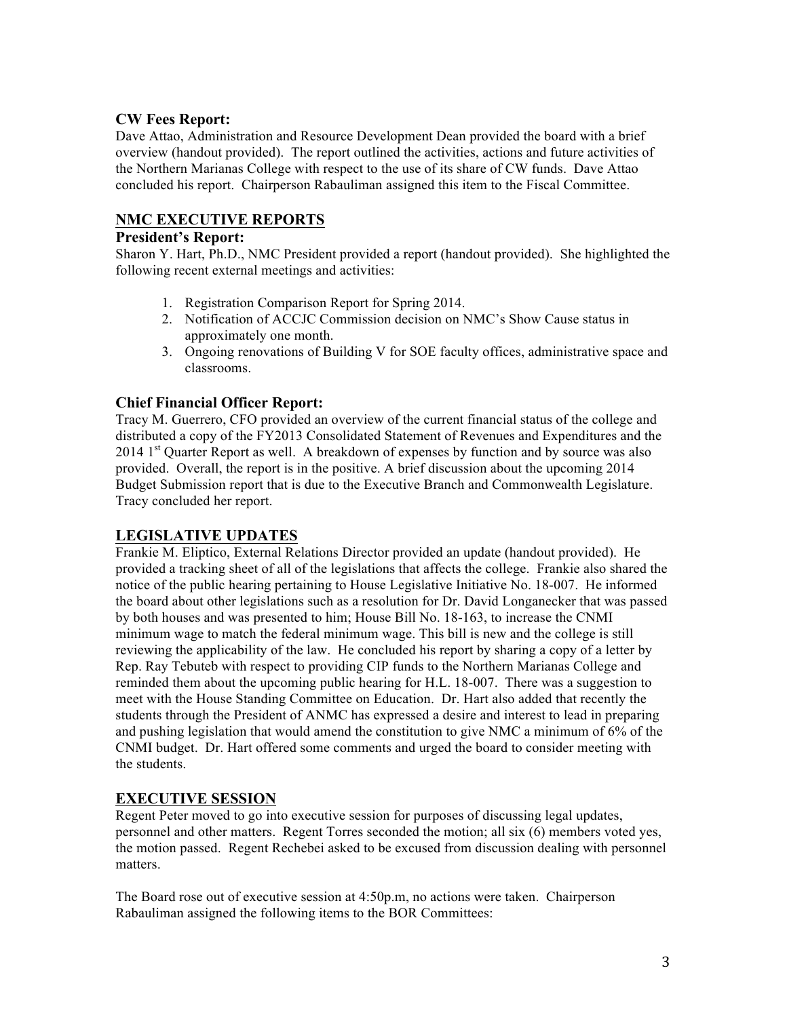## **CW Fees Report:**

Dave Attao, Administration and Resource Development Dean provided the board with a brief overview (handout provided). The report outlined the activities, actions and future activities of the Northern Marianas College with respect to the use of its share of CW funds. Dave Attao concluded his report. Chairperson Rabauliman assigned this item to the Fiscal Committee.

## **NMC EXECUTIVE REPORTS**

#### **President's Report:**

Sharon Y. Hart, Ph.D., NMC President provided a report (handout provided). She highlighted the following recent external meetings and activities:

- 1. Registration Comparison Report for Spring 2014.
- 2. Notification of ACCJC Commission decision on NMC's Show Cause status in approximately one month.
- 3. Ongoing renovations of Building V for SOE faculty offices, administrative space and classrooms.

## **Chief Financial Officer Report:**

Tracy M. Guerrero, CFO provided an overview of the current financial status of the college and distributed a copy of the FY2013 Consolidated Statement of Revenues and Expenditures and the  $2014$  1<sup>st</sup> Quarter Report as well. A breakdown of expenses by function and by source was also provided. Overall, the report is in the positive. A brief discussion about the upcoming 2014 Budget Submission report that is due to the Executive Branch and Commonwealth Legislature. Tracy concluded her report.

## **LEGISLATIVE UPDATES**

Frankie M. Eliptico, External Relations Director provided an update (handout provided). He provided a tracking sheet of all of the legislations that affects the college. Frankie also shared the notice of the public hearing pertaining to House Legislative Initiative No. 18-007. He informed the board about other legislations such as a resolution for Dr. David Longanecker that was passed by both houses and was presented to him; House Bill No. 18-163, to increase the CNMI minimum wage to match the federal minimum wage. This bill is new and the college is still reviewing the applicability of the law. He concluded his report by sharing a copy of a letter by Rep. Ray Tebuteb with respect to providing CIP funds to the Northern Marianas College and reminded them about the upcoming public hearing for H.L. 18-007. There was a suggestion to meet with the House Standing Committee on Education. Dr. Hart also added that recently the students through the President of ANMC has expressed a desire and interest to lead in preparing and pushing legislation that would amend the constitution to give NMC a minimum of 6% of the CNMI budget. Dr. Hart offered some comments and urged the board to consider meeting with the students.

## **EXECUTIVE SESSION**

Regent Peter moved to go into executive session for purposes of discussing legal updates, personnel and other matters. Regent Torres seconded the motion; all six (6) members voted yes, the motion passed. Regent Rechebei asked to be excused from discussion dealing with personnel matters.

The Board rose out of executive session at 4:50p.m, no actions were taken. Chairperson Rabauliman assigned the following items to the BOR Committees: